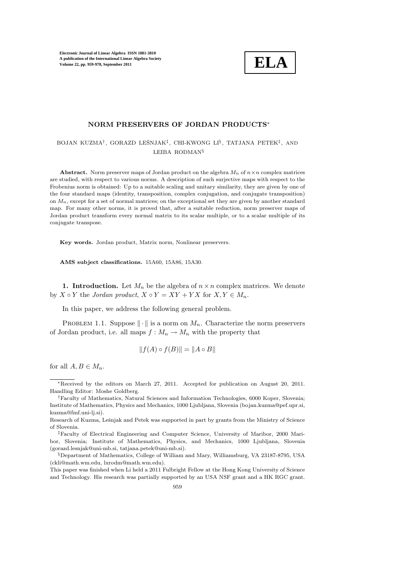

## NORM PRESERVERS OF JORDAN PRODUCTS<sup>∗</sup>

BOJAN KUZMA<sup>†</sup>, GORAZD LEŠNJAK<sup>‡</sup>, CHI-KWONG LI<sup>§</sup>, TATJANA PETEK<sup>‡</sup>, AND LEIBA RODMAN§

Abstract. Norm preserver maps of Jordan product on the algebra  $M_n$  of  $n \times n$  complex matrices are studied, with respect to various norms. A description of such surjective maps with respect to the Frobenius norm is obtained: Up to a suitable scaling and unitary similarity, they are given by one of the four standard maps (identity, transposition, complex conjugation, and conjugate transposition) on  $M_n$ , except for a set of normal matrices; on the exceptional set they are given by another standard map. For many other norms, it is proved that, after a suitable reduction, norm preserver maps of Jordan product transform every normal matrix to its scalar multiple, or to a scalar multiple of its conjugate transpose.

Key words. Jordan product, Matrix norm, Nonlinear preservers.

AMS subject classifications. 15A60, 15A86, 15A30.

1. Introduction. Let  $M_n$  be the algebra of  $n \times n$  complex matrices. We denote by  $X \circ Y$  the Jordan product,  $X \circ Y = XY + YX$  for  $X, Y \in M_n$ .

In this paper, we address the following general problem.

PROBLEM 1.1. Suppose  $\|\cdot\|$  is a norm on  $M_n$ . Characterize the norm preservers of Jordan product, i.e. all maps  $f : M_n \to M_n$  with the property that

$$
||f(A) \circ f(B)|| = ||A \circ B||
$$

for all  $A, B \in M_n$ .

<sup>∗</sup>Received by the editors on March 27, 2011. Accepted for publication on August 20, 2011. Handling Editor: Moshe Goldberg.

<sup>†</sup>Faculty of Mathematics, Natural Sciences and Information Technologies, 6000 Koper, Slovenia; Institute of Mathematics, Physics and Mechanics, 1000 Ljubljana, Slovenia (bojan.kuzma@pef.upr.si, kuzma@fmf.uni-lj.si).

Research of Kuzma, Lešnjak and Petek was supported in part by grants from the Ministry of Science of Slovenia.

<sup>‡</sup>Faculty of Electrical Engineering and Computer Science, University of Maribor, 2000 Maribor, Slovenia; Institute of Mathematics, Physics, and Mechanics, 1000 Ljubljana, Slovenia (gorazd.lesnjak@uni-mb.si, tatjana.petek@uni-mb.si).

<sup>§</sup>Department of Mathematics, College of William and Mary, Williamsburg, VA 23187-8795, USA (ckli@math.wm.edu, lxrodm@math.wm.edu).

This paper was finished when Li held a 2011 Fulbright Fellow at the Hong Kong University of Science and Technology. His research was partially supported by an USA NSF grant and a HK RGC grant.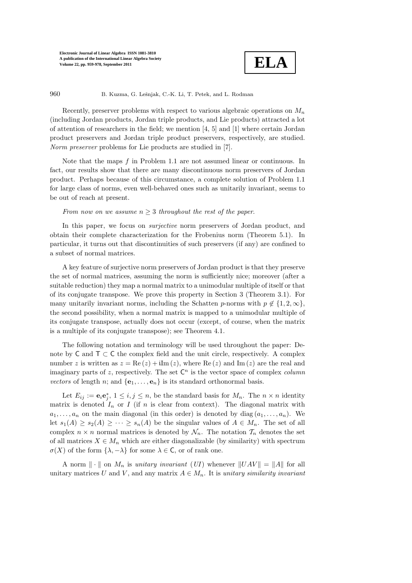

960 B. Kuzma, G. Lešnjak, C.-K. Li, T. Petek, and L. Rodman

Recently, preserver problems with respect to various algebraic operations on  $M_n$ (including Jordan products, Jordan triple products, and Lie products) attracted a lot of attention of researchers in the field; we mention  $[4, 5]$  and  $[1]$  where certain Jordan product preservers and Jordan triple product preservers, respectively, are studied. Norm preserver problems for Lie products are studied in [7].

Note that the maps f in Problem 1.1 are not assumed linear or continuous. In fact, our results show that there are many discontinuous norm preservers of Jordan product. Perhaps because of this circumstance, a complete solution of Problem 1.1 for large class of norms, even well-behaved ones such as unitarily invariant, seems to be out of reach at present.

## From now on we assume  $n \geq 3$  throughout the rest of the paper.

In this paper, we focus on *surjective* norm preservers of Jordan product, and obtain their complete characterization for the Frobenius norm (Theorem 5.1). In particular, it turns out that discontinuities of such preservers (if any) are confined to a subset of normal matrices.

A key feature of surjective norm preservers of Jordan product is that they preserve the set of normal matrices, assuming the norm is sufficiently nice; moreover (after a suitable reduction) they map a normal matrix to a unimodular multiple of itself or that of its conjugate transpose. We prove this property in Section 3 (Theorem 3.1). For many unitarily invariant norms, including the Schatten p-norms with  $p \notin \{1, 2, \infty\}$ , the second possibility, when a normal matrix is mapped to a unimodular multiple of its conjugate transpose, actually does not occur (except, of course, when the matrix is a multiple of its conjugate transpose); see Theorem 4.1.

The following notation and terminology will be used throughout the paper: Denote by  $C$  and  $T \subset C$  the complex field and the unit circle, respectively. A complex number z is written as  $z = \text{Re}(z) + i\text{Im}(z)$ , where  $\text{Re}(z)$  and  $\text{Im}(z)$  are the real and imaginary parts of z, respectively. The set  $\mathsf{C}^n$  is the vector space of complex *column* vectors of length n; and  $\{e_1, \ldots, e_n\}$  is its standard orthonormal basis.

Let  $E_{ij} := \mathbf{e}_i \mathbf{e}_j^*$ ,  $1 \le i, j \le n$ , be the standard basis for  $M_n$ . The  $n \times n$  identity matrix is denoted  $I_n$  or I (if n is clear from context). The diagonal matrix with  $a_1, \ldots, a_n$  on the main diagonal (in this order) is denoted by diag  $(a_1, \ldots, a_n)$ . We let  $s_1(A) \geq s_2(A) \geq \cdots \geq s_n(A)$  be the singular values of  $A \in M_n$ . The set of all complex  $n \times n$  normal matrices is denoted by  $\mathcal{N}_n$ . The notation  $\mathcal{T}_n$  denotes the set of all matrices  $X \in M_n$  which are either diagonalizable (by similarity) with spectrum  $\sigma(X)$  of the form  $\{\lambda, -\lambda\}$  for some  $\lambda \in \mathsf{C}$ , or of rank one.

A norm  $\|\cdot\|$  on  $M_n$  is unitary invariant (UI) whenever  $\|UAV\| = \|A\|$  for all unitary matrices U and V, and any matrix  $A \in M_n$ . It is unitary similarity invariant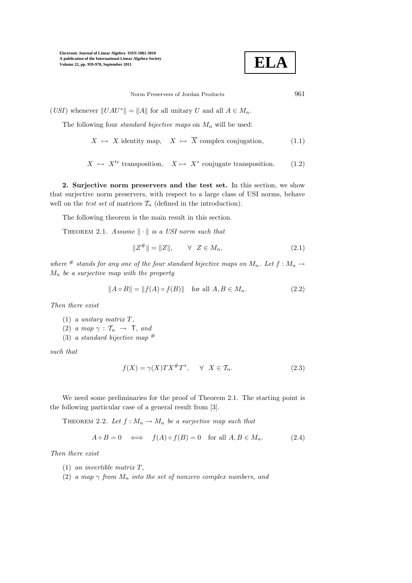

Norm Preservers of Jordan Products 961

(USI) whenever  $||UAU^*|| = ||A||$  for all unitary U and all  $A \in M_n$ .

The following four *standard bijective maps* on  $M_n$  will be used:

 $X \mapsto X$  identity map,  $X \mapsto \overline{X}$  complex conjugation, (1.1)

$$
X \ \mapsto \ X^{\mathrm{tr}} \ \text{transposition}, \quad X \mapsto \ X^* \ \text{conjugate transposition.} \tag{1.2}
$$

2. Surjective norm preservers and the test set. In this section, we show that surjective norm preservers, with respect to a large class of USI norms, behave well on the test set of matrices  $\mathcal{T}_n$  (defined in the introduction).

The following theorem is the main result in this section.

THEOREM 2.1. Assume  $\|\cdot\|$  is a USI norm such that

$$
||Z^{\#}|| = ||Z||, \qquad \forall \ \ Z \in M_n,
$$
\n(2.1)

where # stands for any one of the four standard bijective maps on  $M_n$ . Let  $f : M_n \to$  $M_n$  be a surjective map with the property

$$
||A \circ B|| = ||f(A) \circ f(B)|| \text{ for all } A, B \in M_n.
$$
 (2.2)

Then there exist

- $(1)$  a unitary matrix  $T$ ,
- (2) a map  $\gamma : \mathcal{T}_n \rightarrow \mathsf{T}$ , and
- (3) a standard bijective map  $#$

such that

$$
f(X) = \gamma(X)TX^{\#}T^*, \quad \forall \ X \in \mathcal{T}_n.
$$
 (2.3)

We need some preliminaries for the proof of Theorem 2.1. The starting point is the following particular case of a general result from [3].

THEOREM 2.2. Let  $f : M_n \to M_n$  be a surjective map such that

$$
A \circ B = 0 \iff f(A) \circ f(B) = 0 \text{ for all } A, B \in M_n. \tag{2.4}
$$

Then there exist

- (1) an invertible matrix T,
- (2) a map  $\gamma$  from  $M_n$  into the set of nonzero complex numbers, and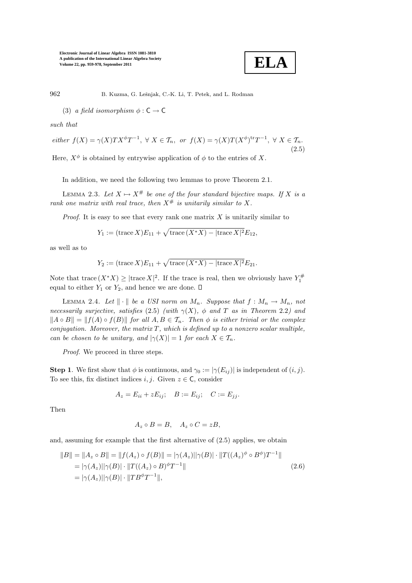

962 B. Kuzma, G. Lešnjak, C.-K. Li, T. Petek, and L. Rodman

(3) a field isomorphism  $\phi : \mathsf{C} \to \mathsf{C}$ 

such that

$$
either f(X) = \gamma(X)TX^{\phi}T^{-1}, \ \forall \ X \in \mathcal{T}_n, \ or \ f(X) = \gamma(X)T(X^{\phi})^{tr}T^{-1}, \ \forall \ X \in \mathcal{T}_n.
$$
\n
$$
(2.5)
$$

Here,  $X^{\phi}$  is obtained by entrywise application of  $\phi$  to the entries of X.

In addition, we need the following two lemmas to prove Theorem 2.1.

LEMMA 2.3. Let  $X \mapsto X^{\#}$  be one of the four standard bijective maps. If X is a rank one matrix with real trace, then  $X^{\#}$  is unitarily similar to X.

*Proof.* It is easy to see that every rank one matrix  $X$  is unitarily similar to

$$
Y_1 := (\text{trace } X)E_{11} + \sqrt{\text{trace }(X^*X) - |\text{trace } X|^2}E_{12},
$$

as well as to

$$
Y_2 := (\text{trace } X)E_{11} + \sqrt{\text{trace }(X^*X) - |\text{trace } X|^2}E_{21}.
$$

Note that trace  $(X^*X) \geq |\text{trace } X|^2$ . If the trace is real, then we obviously have  $Y_1^{\#}$ equal to either  $Y_1$  or  $Y_2$ , and hence we are done.  $\square$ 

LEMMA 2.4. Let  $\|\cdot\|$  be a USI norm on  $M_n$ . Suppose that  $f: M_n \to M_n$ , not necessarily surjective, satisfies (2.5) (with  $\gamma(X)$ ,  $\phi$  and T as in Theorem 2.2) and  $||A \circ B|| = ||f(A) \circ f(B)||$  for all  $A, B \in \mathcal{T}_n$ . Then  $\phi$  is either trivial or the complex conjugation. Moreover, the matrix  $T$ , which is defined up to a nonzero scalar multiple, can be chosen to be unitary, and  $|\gamma(X)| = 1$  for each  $X \in \mathcal{T}_n$ .

Proof. We proceed in three steps.

**Step 1.** We first show that  $\phi$  is continuous, and  $\gamma_0 := |\gamma(E_{ij})|$  is independent of  $(i, j)$ . To see this, fix distinct indices  $i, j$ . Given  $z \in \mathsf{C}$ , consider

$$
A_z = E_{ii} + zE_{ij}; \quad B := E_{ij}; \quad C := E_{jj}.
$$

Then

$$
A_z \circ B = B, \quad A_z \circ C = zB,
$$

and, assuming for example that the first alternative of (2.5) applies, we obtain

$$
||B|| = ||A_z \circ B|| = ||f(A_z) \circ f(B)|| = |\gamma(A_z)||\gamma(B)| \cdot ||T((A_z)^{\phi} \circ B^{\phi})T^{-1}||
$$
  
=  $|\gamma(A_z)||\gamma(B)| \cdot ||T((A_z) \circ B)^{\phi}T^{-1}||$   
=  $|\gamma(A_z)||\gamma(B)| \cdot ||TB^{\phi}T^{-1}||$ , (2.6)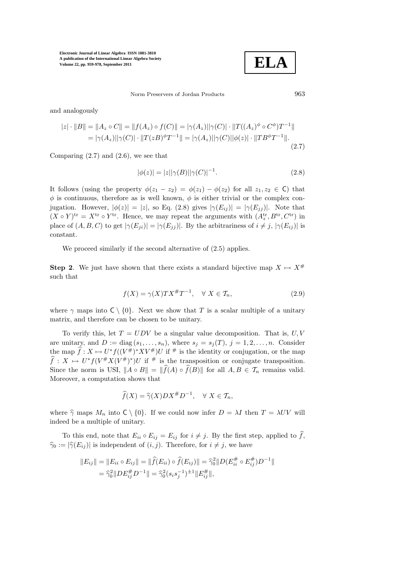**ELA**

Norm Preservers of Jordan Products 963

and analogously

$$
|z| \cdot ||B|| = ||A_z \circ C|| = ||f(A_z) \circ f(C)|| = |\gamma(A_z)||\gamma(C)| \cdot ||T((A_z)^{\phi} \circ C^{\phi})T^{-1}||
$$
  
=  $|\gamma(A_z)||\gamma(C)| \cdot ||T(zB)^{\phi}T^{-1}|| = |\gamma(A_z)||\gamma(C)||\phi(z)| \cdot ||TB^{\phi}T^{-1}||.$  (2.7)

Comparing  $(2.7)$  and  $(2.6)$ , we see that

$$
|\phi(z)| = |z||\gamma(B)||\gamma(C)|^{-1}.
$$
\n(2.8)

It follows (using the property  $\phi(z_1 - z_2) = \phi(z_1) - \phi(z_2)$  for all  $z_1, z_2 \in \mathbb{C}$ ) that  $\phi$  is continuous, therefore as is well known,  $\phi$  is either trivial or the complex conjugation. However,  $|\phi(z)| = |z|$ , so Eq. (2.8) gives  $|\gamma(E_{ij})| = |\gamma(E_{jj})|$ . Note that  $(X \circ Y)^{tr} = X^{tr} \circ Y^{tr}$ . Hence, we may repeat the arguments with  $(A_z^{tr}, B^{tr}, C^{tr})$  in place of  $(A, B, C)$  to get  $|\gamma(E_{ji})| = |\gamma(E_{jj})|$ . By the arbitrariness of  $i \neq j$ ,  $|\gamma(E_{ij})|$  is constant.

We proceed similarly if the second alternative of  $(2.5)$  applies.

**Step 2.** We just have shown that there exists a standard bijective map  $X \mapsto X^{\#}$ such that

$$
f(X) = \gamma(X)TX^{\#}T^{-1}, \quad \forall \ X \in \mathcal{T}_n,\tag{2.9}
$$

where  $\gamma$  maps into  $C \setminus \{0\}$ . Next we show that T is a scalar multiple of a unitary matrix, and therefore can be chosen to be unitary.

To verify this, let  $T = UDV$  be a singular value decomposition. That is,  $U, V$ are unitary, and  $D := \text{diag}(s_1, \ldots, s_n)$ , where  $s_j = s_j(T)$ ,  $j = 1, 2, \ldots, n$ . Consider the map  $\hat{f} : X \mapsto U^* f((V^*)^* X V^*) U$  if # is the identity or conjugation, or the map  $\widehat{f}: X \mapsto U^*f(V^{\#}X(V^{\#})^*)U$  if # is the transposition or conjugate transposition. Since the norm is USI,  $\|A \circ B\| = \|\widehat{f}(A) \circ \widehat{f}(B)\|$  for all  $A, B \in \mathcal{T}_n$  remains valid. Moreover, a computation shows that

$$
\widehat{f}(X) = \widehat{\gamma}(X)DX^{\#}D^{-1}, \quad \forall X \in \mathcal{T}_n,
$$

where  $\hat{\gamma}$  maps  $M_n$  into  $C \setminus \{0\}$ . If we could now infer  $D = \lambda I$  then  $T = \lambda UV$  will indeed be a multiple of unitary.

To this end, note that  $E_{ii} \circ E_{ij} = E_{ij}$  for  $i \neq j$ . By the first step, applied to  $\hat{f}$ ,  $\hat{\gamma}_0 := |\hat{\gamma}(E_{ij})|$  is independent of  $(i, j)$ . Therefore, for  $i \neq j$ , we have

$$
||E_{ij}|| = ||E_{ii} \circ E_{ij}|| = ||\hat{f}(E_{ii}) \circ \hat{f}(E_{ij})|| = \hat{\gamma}_0^2 ||D(E_{ii}^{\#} \circ E_{ij}^{\#}) D^{-1}||
$$
  
=  $\hat{\gamma}_0^2 ||DE_{ij}^{\#} D^{-1}|| = \hat{\gamma}_0^2 (s_i s_j^{-1})^{\pm 1} ||E_{ij}^{\#}||,$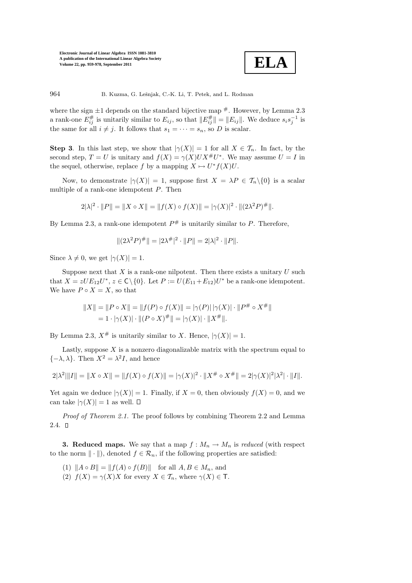

964 B. Kuzma, G. Lešnjak, C.-K. Li, T. Petek, and L. Rodman

where the sign  $\pm 1$  depends on the standard bijective map  $\#$ . However, by Lemma 2.3 a rank-one  $E_{ij}^{\#}$  is unitarily similar to  $E_{ij}$ , so that  $||E_{ij}^{\#}|| = ||E_{ij}||$ . We deduce  $s_i s_j^{-1}$  is the same for all  $i \neq j$ . It follows that  $s_1 = \cdots = s_n$ , so D is scalar.

**Step 3.** In this last step, we show that  $|\gamma(X)| = 1$  for all  $X \in \mathcal{T}_n$ . In fact, by the second step,  $T = U$  is unitary and  $f(X) = \gamma(X)U X^{\#} U^*$ . We may assume  $U = I$  in the sequel, otherwise, replace f by a mapping  $X \mapsto U^*f(X)U$ .

Now, to demonstrate  $|\gamma(X)| = 1$ , suppose first  $X = \lambda P \in \mathcal{T}_n \backslash \{0\}$  is a scalar multiple of a rank-one idempotent P. Then

$$
2|\lambda|^2 \cdot ||P|| = ||X \circ X|| = ||f(X) \circ f(X)|| = |\gamma(X)|^2 \cdot ||(2\lambda^2 P)^{\#}||.
$$

By Lemma 2.3, a rank-one idempotent  $P^{\#}$  is unitarily similar to P. Therefore,

$$
||(2\lambda^2 P)^{\#}|| = |2\lambda^{\#}|^2 \cdot ||P|| = 2|\lambda|^2 \cdot ||P||.
$$

Since  $\lambda \neq 0$ , we get  $|\gamma(X)| = 1$ .

Suppose next that  $X$  is a rank-one nilpotent. Then there exists a unitary  $U$  such that  $X = zUE_{12}U^*$ ,  $z \in \mathsf{C}\backslash\{0\}$ . Let  $P := U(E_{11} + E_{12})U^*$  be a rank-one idempotent. We have  $P \circ X = X$ , so that

$$
||X|| = ||P \circ X|| = ||f(P) \circ f(X)|| = |\gamma(P)| |\gamma(X)| \cdot ||P^{\#} \circ X^{\#}||
$$
  
= 1 \cdot |\gamma(X)| \cdot ||(P \circ X)^{\#}|| = |\gamma(X)| \cdot ||X^{\#}||.

By Lemma 2.3,  $X^{\#}$  is unitarily similar to X. Hence,  $|\gamma(X)| = 1$ .

Lastly, suppose  $X$  is a nonzero diagonalizable matrix with the spectrum equal to  $\{-\lambda, \lambda\}$ . Then  $X^2 = \lambda^2 I$ , and hence

$$
2|\lambda^2| \|I\| = \|X \circ X\| = \|f(X) \circ f(X)\| = |\gamma(X)|^2 \cdot \|X^{\#} \circ X^{\#}\| = 2|\gamma(X)|^2 |\lambda^2| \cdot \|I\|.
$$

Yet again we deduce  $|\gamma(X)| = 1$ . Finally, if  $X = 0$ , then obviously  $f(X) = 0$ , and we can take  $|\gamma(X)| = 1$  as well.  $\Box$ 

Proof of Theorem 2.1. The proof follows by combining Theorem 2.2 and Lemma  $2.4. \Box$ 

**3. Reduced maps.** We say that a map  $f : M_n \to M_n$  is reduced (with respect to the norm  $\|\cdot\|$ , denoted  $f \in \mathcal{R}_n$ , if the following properties are satisfied:

- (1)  $||A \circ B|| = ||f(A) \circ f(B)||$  for all  $A, B \in M_n$ , and
- (2)  $f(X) = \gamma(X)X$  for every  $X \in \mathcal{T}_n$ , where  $\gamma(X) \in \mathsf{T}$ .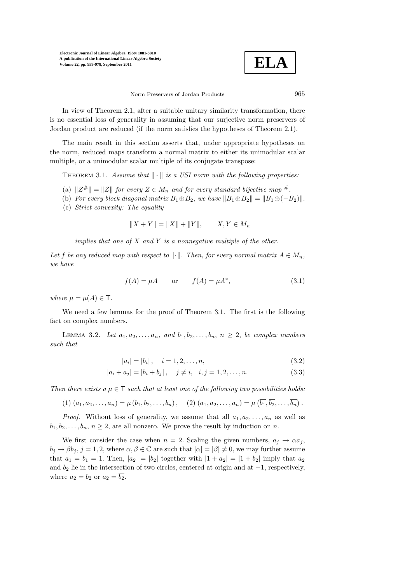

Norm Preservers of Jordan Products 965

In view of Theorem 2.1, after a suitable unitary similarity transformation, there is no essential loss of generality in assuming that our surjective norm preservers of Jordan product are reduced (if the norm satisfies the hypotheses of Theorem 2.1).

The main result in this section asserts that, under appropriate hypotheses on the norm, reduced maps transform a normal matrix to either its unimodular scalar multiple, or a unimodular scalar multiple of its conjugate transpose:

THEOREM 3.1. Assume that  $\|\cdot\|$  is a USI norm with the following properties:

- (a)  $||Z^{\#}|| = ||Z||$  for every  $Z \in M_n$  and for every standard bijective map #.
- (b) For every block diagonal matrix  $B_1 \oplus B_2$ , we have  $||B_1 \oplus B_2|| = ||B_1 \oplus (-B_2)||$ .
- (c) Strict convexity: The equality

$$
||X + Y|| = ||X|| + ||Y||, \qquad X, Y \in M_n
$$

implies that one of  $X$  and  $Y$  is a nonnegative multiple of the other.

Let f be any reduced map with respect to  $\|\cdot\|$ . Then, for every normal matrix  $A \in M_n$ , we have

$$
f(A) = \mu A \qquad \text{or} \qquad f(A) = \mu A^*, \tag{3.1}
$$

where  $\mu = \mu(A) \in \mathsf{T}$ .

We need a few lemmas for the proof of Theorem 3.1. The first is the following fact on complex numbers.

LEMMA 3.2. Let  $a_1, a_2, \ldots, a_n$ , and  $b_1, b_2, \ldots, b_n$ ,  $n \geq 2$ , be complex numbers such that

$$
|a_i| = |b_i|, \quad i = 1, 2, \dots, n,
$$
\n(3.2)

$$
|a_i + a_j| = |b_i + b_j|, \quad j \neq i, \quad i, j = 1, 2, \dots, n.
$$
 (3.3)

Then there exists a  $\mu \in \mathsf{T}$  such that at least one of the following two possibilities holds:

(1) 
$$
(a_1, a_2,..., a_n) = \mu(b_1, b_2,..., b_n),
$$
 (2)  $(a_1, a_2,..., a_n) = \mu(\overline{b_1}, \overline{b_2},..., \overline{b_n})$ 

*Proof.* Without loss of generality, we assume that all  $a_1, a_2, \ldots, a_n$  as well as  $b_1, b_2, \ldots, b_n, n \geq 2$ , are all nonzero. We prove the result by induction on n.

We first consider the case when  $n = 2$ . Scaling the given numbers,  $a_i \rightarrow \alpha a_i$ ,  $b_j \rightarrow \beta b_j$ ,  $j = 1, 2$ , where  $\alpha, \beta \in \mathbb{C}$  are such that  $|\alpha| = |\beta| \neq 0$ , we may further assume that  $a_1 = b_1 = 1$ . Then,  $|a_2| = |b_2|$  together with  $|1 + a_2| = |1 + b_2|$  imply that  $a_2$ and  $b_2$  lie in the intersection of two circles, centered at origin and at  $-1$ , respectively, where  $a_2 = b_2$  or  $a_2 = \overline{b_2}$ .

.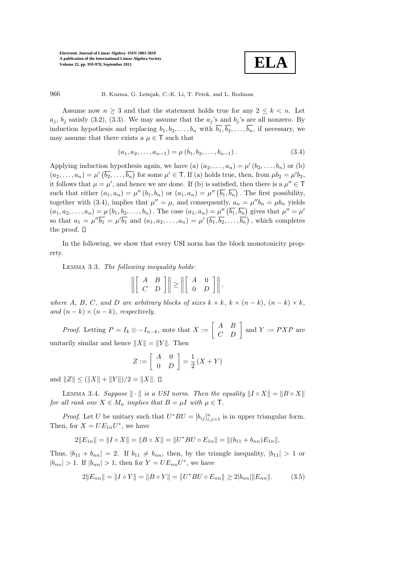

966 B. Kuzma, G. Lešnjak, C.-K. Li, T. Petek, and L. Rodman

Assume now  $n \geq 3$  and that the statement holds true for any  $2 \leq k \leq n$ . Let  $a_j$ ,  $b_j$  satisfy (3.2), (3.3). We may assume that the  $a_j$ 's and  $b_j$ 's are all nonzero. By induction hypothesis and replacing  $b_1, b_2, \ldots, b_n$  with  $\overline{b_1}, \overline{b_2}, \ldots, \overline{b_n}$ , if necessary, we may assume that there exists a  $\mu \in \mathsf{T}$  such that

$$
(a_1, a_2, \dots, a_{n-1}) = \mu(b_1, b_2, \dots, b_{n-1}).
$$
\n(3.4)

Applying induction hypothesis again, we have (a)  $(a_2, \ldots, a_n) = \mu'(b_2, \ldots, b_n)$  or (b)  $(a_2, \ldots, a_n) = \mu'(\overline{b_2}, \ldots, \overline{b_n})$  for some  $\mu' \in \mathsf{T}$ . If (a) holds true, then, from  $\mu b_2 = \mu' b_2$ , it follows that  $\mu = \mu'$ , and hence we are done. If (b) is satisfied, then there is a  $\mu'' \in T$ such that either  $(a_1, a_n) = \mu''(b_1, b_n)$  or  $(a_1, a_n) = \mu''(\overline{b_1}, \overline{b_n})$ . The first possibility, together with (3.4), implies that  $\mu'' = \mu$ , and consequently,  $a_n = \mu'' b_n = \mu b_n$  yields  $(a_1, a_2, \ldots, a_n) = \mu(b_1, b_2, \ldots, b_n)$ . The case  $(a_1, a_n) = \mu''(\overline{b_1}, \overline{b_n})$  gives that  $\mu'' = \mu'$ so that  $a_1 = \mu'' \overline{b_1} = \mu' \overline{b_1}$  and  $(a_1, a_2, \ldots, a_n) = \mu' (\overline{b_1}, \overline{b_2}, \ldots, \overline{b_n})$ , which completes the proof.  $\square$ 

In the following, we show that every USI norm has the block monotonicity property.

Lemma 3.3. The following inequality holds:

$$
\left\| \left[ \begin{array}{cc} A & B \\ C & D \end{array} \right] \right\| \ge \left\| \left[ \begin{array}{cc} A & 0 \\ 0 & D \end{array} \right] \right\|,
$$

where A, B, C, and D are arbitrary blocks of sizes  $k \times k$ ,  $k \times (n-k)$ ,  $(n-k) \times k$ , and  $(n - k) \times (n - k)$ , respectively.

*Proof.* Letting  $P = I_k \oplus -I_{n-k}$ , note that  $X := \begin{bmatrix} A & B \\ C & D \end{bmatrix}$  and  $Y := PXP$  are unitarily similar and hence  $||X|| = ||Y||$ . Then

$$
Z := \left[ \begin{array}{cc} A & 0 \\ 0 & D \end{array} \right] = \frac{1}{2} \left( X + Y \right)
$$

and  $||Z|| \leq (||X|| + ||Y||)/2 = ||X||$ .  $\Box$ 

LEMMA 3.4. Suppose  $\|\cdot\|$  is a USI norm. Then the equality  $\|I \circ X\| = \|B \circ X\|$ for all rank one  $X \in M_n$  implies that  $B = \mu I$  with  $\mu \in \mathsf{T}$ .

*Proof.* Let U be unitary such that  $U^*BU = [b_{ij}]_{i,j=1}^n$  is in upper triangular form. Then, for  $X = UE_{1n}U^*$ , we have

$$
2||E_{1n}|| = ||I \circ X|| = ||B \circ X|| = ||U^*BU \circ E_{1n}|| = ||(b_{11} + b_{nn})E_{1n}||.
$$

Thus,  $|b_{11} + b_{nn}| = 2$ . If  $b_{11} \neq b_{nn}$ , then, by the triangle inequality,  $|b_{11}| > 1$  or  $|b_{nn}| > 1$ . If  $|b_{nn}| > 1$ , then for  $Y = UE_{nn}U^*$ , we have

$$
2||E_{nn}|| = ||I \circ Y|| = ||B \circ Y|| = ||U^*BU \circ E_{nn}|| \ge 2|b_{nn}||E_{nn}||. \tag{3.5}
$$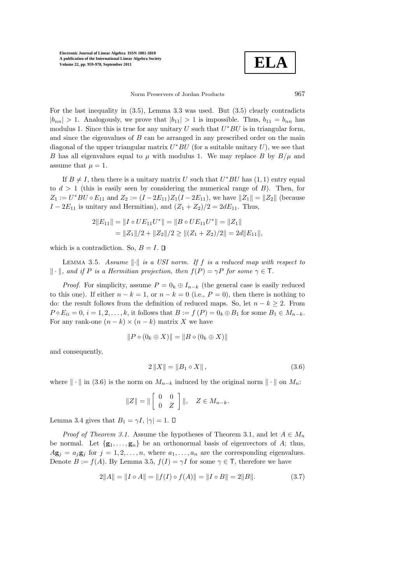**ELA**

Norm Preservers of Jordan Products 967

For the last inequality in (3.5), Lemma 3.3 was used. But (3.5) clearly contradicts  $|b_{nn}| > 1$ . Analogously, we prove that  $|b_{11}| > 1$  is impossible. Thus,  $b_{11} = b_{nn}$  has modulus 1. Since this is true for any unitary U such that  $U^*BU$  is in triangular form, and since the eigenvalues of  $B$  can be arranged in any prescribed order on the main diagonal of the upper triangular matrix  $U^*BU$  (for a suitable unitary  $U$ ), we see that B has all eigenvalues equal to  $\mu$  with modulus 1. We may replace B by  $B/\mu$  and assume that  $\mu = 1$ .

If  $B \neq I$ , then there is a unitary matrix U such that  $U^*BU$  has  $(1,1)$  entry equal to  $d > 1$  (this is easily seen by considering the numerical range of B). Then, for  $Z_1 := U^* B U \circ E_{11}$  and  $Z_2 := (I - 2E_{11}) Z_1 (I - 2E_{11})$ , we have  $||Z_1|| = ||Z_2||$  (because  $I - 2E_{11}$  is unitary and Hermitian), and  $(Z_1 + Z_2)/2 = 2dE_{11}$ . Thus,

$$
2||E_{11}|| = ||I \circ UE_{11}U^*|| = ||B \circ UE_{11}U^*|| = ||Z_1||
$$
  
=  $||Z_1||/2 + ||Z_2||/2 \ge ||(Z_1 + Z_2)/2|| = 2d||E_{11}||,$ 

which is a contradiction. So,  $B = I$ .  $\Box$ 

LEMMA 3.5. Assume  $\|\cdot\|$  is a USI norm. If f is a reduced map with respect to  $\|\cdot\|$ , and if P is a Hermitian projection, then  $f(P) = \gamma P$  for some  $\gamma \in \mathsf{T}$ .

*Proof.* For simplicity, assume  $P = 0_k \oplus I_{n-k}$  (the general case is easily reduced to this one). If either  $n - k = 1$ , or  $n - k = 0$  (i.e.,  $P = 0$ ), then there is nothing to do: the result follows from the definition of reduced maps. So, let  $n - k \geq 2$ . From  $P \circ E_{ii} = 0, i = 1, 2, \ldots, k$ , it follows that  $B := f(P) = 0_k \oplus B_1$  for some  $B_1 \in M_{n-k}$ . For any rank-one  $(n - k) \times (n - k)$  matrix X we have

$$
||P \circ (0_k \oplus X)|| = ||B \circ (0_k \oplus X)||
$$

and consequently,

$$
2\|X\| = \|B_1 \circ X\|,\tag{3.6}
$$

where  $\|\cdot\|$  in (3.6) is the norm on  $M_{n-k}$  induced by the original norm  $\|\cdot\|$  on  $M_n$ :

$$
||Z|| = ||\begin{bmatrix} 0 & 0 \\ 0 & Z \end{bmatrix}||, \quad Z \in M_{n-k}.
$$

Lemma 3.4 gives that  $B_1 = \gamma I$ ,  $|\gamma| = 1$ .  $\square$ 

*Proof of Theorem 3.1.* Assume the hypotheses of Theorem 3.1, and let  $A \in M_n$ be normal. Let  $\{g_1, \ldots, g_n\}$  be an orthonormal basis of eigenvectors of A; thus,  $A\mathbf{g}_j = a_j\mathbf{g}_j$  for  $j = 1, 2, ..., n$ , where  $a_1, ..., a_n$  are the corresponding eigenvalues. Denote  $B := f(A)$ . By Lemma 3.5,  $f(I) = \gamma I$  for some  $\gamma \in \mathsf{T}$ , therefore we have

$$
2||A|| = ||I \circ A|| = ||f(I) \circ f(A)|| = ||I \circ B|| = 2||B||.
$$
 (3.7)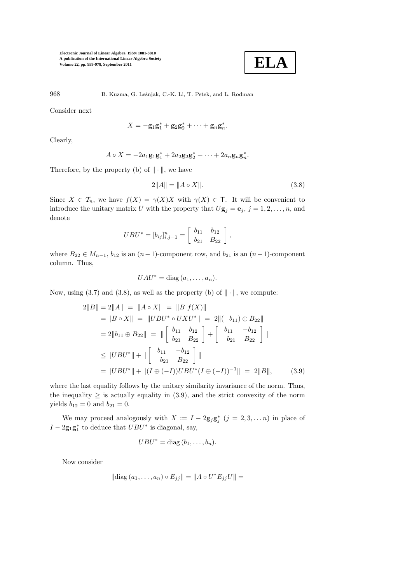

968 B. Kuzma, G. Lešnjak, C.-K. Li, T. Petek, and L. Rodman

Consider next

$$
X=-\mathbf{g}_1\mathbf{g}_1^*+\mathbf{g}_2\mathbf{g}_2^*+\cdots+\mathbf{g}_n\mathbf{g}_n^*.
$$

Clearly,

$$
A\circ X=-2a_1\mathbf{g}_1\mathbf{g}_1^*+2a_2\mathbf{g}_2\mathbf{g}_2^*+\cdots+2a_n\mathbf{g}_n\mathbf{g}_n^*.
$$

Therefore, by the property (b) of  $\|\cdot\|$ , we have

$$
2||A|| = ||A \circ X||. \tag{3.8}
$$

Since  $X \in \mathcal{T}_n$ , we have  $f(X) = \gamma(X)X$  with  $\gamma(X) \in \mathcal{T}$ . It will be convenient to introduce the unitary matrix U with the property that  $U\mathbf{g}_i = \mathbf{e}_i, j = 1, 2, \ldots, n$ , and denote

$$
UBU^* = [b_{ij}]_{i,j=1}^n = \begin{bmatrix} b_{11} & b_{12} \\ b_{21} & B_{22} \end{bmatrix},
$$

where  $B_{22} \in M_{n-1}$ ,  $b_{12}$  is an  $(n-1)$ -component row, and  $b_{21}$  is an  $(n-1)$ -component column. Thus,

$$
UAU^* = \text{diag}(a_1, \ldots, a_n).
$$

Now, using (3.7) and (3.8), as well as the property (b) of  $\|\cdot\|$ , we compute:

$$
2||B|| = 2||A|| = ||A \circ X|| = ||B f(X)||
$$
  
\n
$$
= ||B \circ X|| = ||UBU^* \circ UXU^*|| = 2||(-b_{11}) \oplus B_{22}||
$$
  
\n
$$
= 2||b_{11} \oplus B_{22}|| = ||\begin{bmatrix} b_{11} & b_{12} \\ b_{21} & B_{22} \end{bmatrix} + \begin{bmatrix} b_{11} & -b_{12} \\ -b_{21} & B_{22} \end{bmatrix}||
$$
  
\n
$$
\leq ||UBU^*|| + ||\begin{bmatrix} b_{11} & -b_{12} \\ -b_{21} & B_{22} \end{bmatrix}||
$$
  
\n
$$
= ||UBU^*|| + ||(I \oplus (-I))UBU^*(I \oplus (-I))^{-1}|| = 2||B||,
$$
 (3.9)

where the last equality follows by the unitary similarity invariance of the norm. Thus, the inequality  $\geq$  is actually equality in (3.9), and the strict convexity of the norm yields  $b_{12} = 0$  and  $b_{21} = 0$ .

We may proceed analogously with  $X := I - 2g_j g_j^*$   $(j = 2, 3, ..., n)$  in place of  $I - 2g_1g_1^*$  to deduce that  $UBU^*$  is diagonal, say,

$$
UBU^* = \text{diag}(b_1, \ldots, b_n).
$$

Now consider

$$
\|\operatorname{diag}(a_1, ..., a_n) \circ E_{jj}\| = \|A \circ U^* E_{jj} U\| =
$$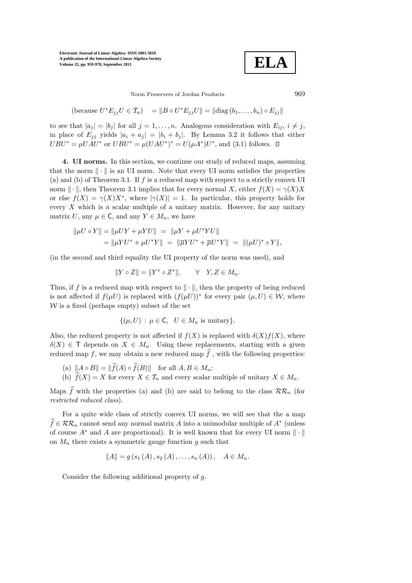**ELA**

Norm Preservers of Jordan Products 969

(because 
$$
U^*E_{jj}U \in \mathcal{T}_n
$$
) =  $||B \circ U^*E_{jj}U|| = ||\text{diag}(b_1,\ldots,b_n) \circ E_{jj}||$ 

to see that  $|a_i| = |b_i|$  for all  $j = 1, \ldots, n$ . Analogous consideration with  $E_{ij}$ ,  $i \neq j$ , in place of  $E_{jj}$  yields  $|a_i + a_j| = |b_i + b_j|$ . By Lemma 3.2 it follows that either  $UBU^* = \mu UAU^*$  or  $UBU^* = \mu (UAU^*)^* = U(\mu A^*)U^*$ , and (3.1) follows.

4. UI norms. In this section, we continue our study of reduced maps, assuming that the norm  $\|\cdot\|$  is an UI norm. Note that every UI norm satisfies the properties (a) and (b) of Theorem 3.1. If  $f$  is a reduced map with respect to a strictly convex UI norm  $\|\cdot\|$ , then Theorem 3.1 implies that for every normal X, either  $f(X) = \gamma(X)X$ or else  $f(X) = \gamma(X)X^*$ , where  $|\gamma(X)| = 1$ . In particular, this property holds for every  $X$  which is a scalar multiple of a unitary matrix. However, for any unitary matrix U, any  $\mu \in \mathsf{C}$ , and any  $Y \in M_n$ , we have

$$
\|\mu U \circ Y\| = \|\mu U Y + \mu Y U\| = \|\mu Y + \mu U^* Y U\| \n= \|\mu Y U^* + \mu U^* Y\| = \|\overline{\mu} Y U^* + \overline{\mu} U^* Y\| = \|(\mu U)^* \circ Y\|,
$$

(in the second and third equality the UI property of the norm was used), and

$$
||Y \circ Z|| = ||Y^* \circ Z^*||, \qquad \forall \quad Y, Z \in M_n.
$$

Thus, if f is a reduced map with respect to  $\|\cdot\|$ , then the property of being reduced is not affected if  $f(\mu U)$  is replaced with  $(f(\mu U))^*$  for every pair  $(\mu, U) \in \mathcal{W}$ , where  $W$  is a fixed (perhaps empty) subset of the set

$$
\{(\mu, U) : \mu \in \mathsf{C}, \ U \in M_n \text{ is unitary}\}.
$$

Also, the reduced property is not affected if  $f(X)$  is replaced with  $\delta(X)f(X)$ , where  $\delta(X) \in \mathsf{T}$  depends on  $X \in M_n$ . Using these replacements, starting with a given reduced map f, we may obtain a new reduced map  $\hat{f}$ , with the following properties:

- (a)  $||A \circ B|| = ||\widehat{f}(A) \circ \widehat{f}(B)||$  for all  $A, B \in M_n$ ;
- (b)  $\widehat{f}(X) = X$  for every  $X \in \mathcal{T}_n$  and every scalar multiple of unitary  $X \in M_n$ .

Maps  $\hat{f}$  with the properties (a) and (b) are said to belong to the class  $\mathcal{RR}_n$  (for restricted reduced class).

For a quite wide class of strictly convex UI norms, we will see that the a map  $f \in \mathcal{RR}_n$  cannot send any normal matrix A into a unimodular multiple of  $A^*$  (unless of course  $A^*$  and A are proportional). It is well known that for every UI norm  $\|\cdot\|$ on  $M_n$  there exists a symmetric gauge function g such that

$$
||A|| = g(s_1(A), s_2(A), \ldots, s_n(A)), \quad A \in M_n.
$$

Consider the following additional property of g.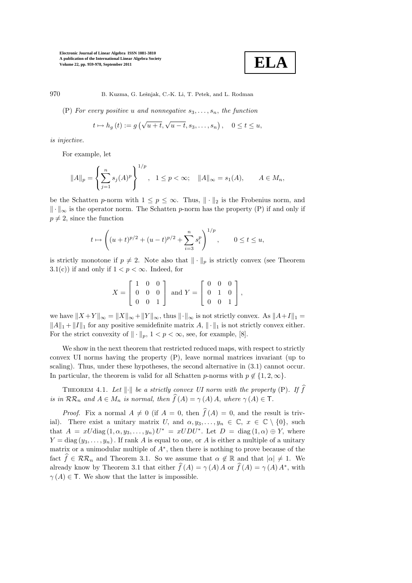$$
\boxed{\textbf{ELA}}
$$

970 B. Kuzma, G. Lešnjak, C.-K. Li, T. Petek, and L. Rodman

(P) For every positive u and nonnegative  $s_3, \ldots, s_n$ , the function

$$
t \mapsto h_g(t) := g\left(\sqrt{u+t}, \sqrt{u-t}, s_3, \dots, s_n\right), \quad 0 \le t \le u,
$$

is injective.

For example, let

$$
||A||_p = \left\{ \sum_{j=1}^n s_j(A)^p \right\}^{1/p}, \quad 1 \le p < \infty; \quad ||A||_{\infty} = s_1(A), \qquad A \in M_n,
$$

be the Schatten p-norm with  $1 \leq p \leq \infty$ . Thus,  $\|\cdot\|_2$  is the Frobenius norm, and  $\|\cdot\|_{\infty}$  is the operator norm. The Schatten p-norm has the property (P) if and only if  $p \neq 2$ , since the function

$$
t \mapsto \left( (u+t)^{p/2} + (u-t)^{p/2} + \sum_{i=3}^{n} s_i^p \right)^{1/p}, \qquad 0 \le t \le u,
$$

is strictly monotone if  $p \neq 2$ . Note also that  $\|\cdot\|_p$  is strictly convex (see Theorem 3.1(c)) if and only if  $1 < p < \infty$ . Indeed, for

$$
X = \begin{bmatrix} 1 & 0 & 0 \\ 0 & 0 & 0 \\ 0 & 0 & 1 \end{bmatrix} \text{ and } Y = \begin{bmatrix} 0 & 0 & 0 \\ 0 & 1 & 0 \\ 0 & 0 & 1 \end{bmatrix},
$$

we have  $||X + Y||_{\infty} = ||X||_{\infty} + ||Y||_{\infty}$ , thus  $|| \cdot ||_{\infty}$  is not strictly convex. As  $||A + I||_1 =$  $\|A\|_1 + \|I\|_1$  for any positive semidefinite matrix A,  $\|\cdot\|_1$  is not strictly convex either. For the strict convexity of  $\|\cdot\|_p$ ,  $1 < p < \infty$ , see, for example, [8].

We show in the next theorem that restricted reduced maps, with respect to strictly convex UI norms having the property (P), leave normal matrices invariant (up to scaling). Thus, under these hypotheses, the second alternative in (3.1) cannot occur. In particular, the theorem is valid for all Schatten p-norms with  $p \notin \{1, 2, \infty\}$ .

THEOREM 4.1. Let  $\|\cdot\|$  be a strictly convex UI norm with the property (P). If  $\widehat{f}$ is in  $\mathcal{RR}_n$  and  $A \in M_n$  is normal, then  $\widehat{f}(A) = \gamma(A) A$ , where  $\gamma(A) \in \mathsf{T}$ .

*Proof.* Fix a normal  $A \neq 0$  (if  $A = 0$ , then  $\hat{f}(A) = 0$ , and the result is trivial). There exist a unitary matrix U, and  $\alpha, y_3, \ldots, y_n \in \mathbb{C}, x \in \mathbb{C} \setminus \{0\},\$ that  $A = xU \text{diag}(1, \alpha, y_3, \dots, y_n)U^* = xUDU^*$ . Let  $D = \text{diag}(1, \alpha) \oplus Y$ , where  $Y = \text{diag}(y_3, \ldots, y_n)$ . If rank A is equal to one, or A is either a multiple of a unitary matrix or a unimodular multiple of A<sup>∗</sup> , then there is nothing to prove because of the fact  $\hat{f} \in \mathcal{RR}_n$  and Theorem 3.1. So we assume that  $\alpha \notin \mathbb{R}$  and that  $|\alpha| \neq 1$ . We already know by Theorem 3.1 that either  $\hat{f}(A) = \gamma(A) A$  or  $\hat{f}(A) = \gamma(A) A^*$ , with  $\gamma(A) \in \mathsf{T}$ . We show that the latter is impossible.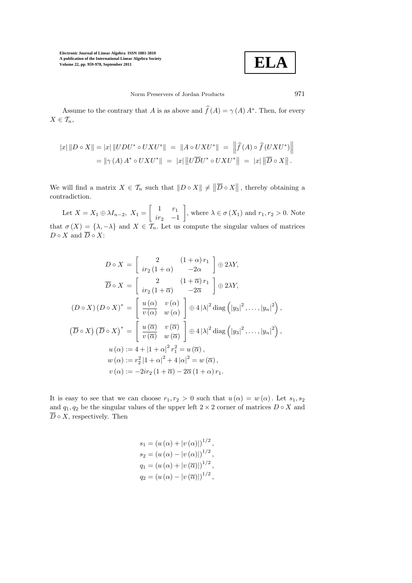

Norm Preservers of Jordan Products 971

Assume to the contrary that A is as above and  $\hat{f}(A) = \gamma(A) A^*$ . Then, for every  $X \in \mathcal{T}_n$ ,

$$
|x| ||D \circ X|| = |x| ||UDU^* \circ UXU^*|| = ||A \circ UXU^*|| = ||\hat{f}(A) \circ \hat{f}(UXU^*)||
$$
  
= 
$$
||\gamma(A) A^* \circ UXU^*|| = |x| ||U\overline{D}U^* \circ UXU^*|| = |x| ||\overline{D} \circ X||.
$$

We will find a matrix  $X \in \mathcal{T}_n$  such that  $||D \circ X|| \neq ||\overline{D} \circ X||$ , thereby obtaining a contradiction.

Let  $X = X_1 \oplus \lambda I_{n-2}$ ,  $X_1 =$  $\begin{bmatrix} 1 & r_1 \end{bmatrix}$  $ir_2$  −1 1 , where  $\lambda \in \sigma(X_1)$  and  $r_1, r_2 > 0$ . Note that  $\sigma(X) = \{\lambda, -\lambda\}$  and  $X \in \mathcal{T}_n$ . Let us compute the singular values of matrices  $D \circ X$  and  $\overline{D} \circ X$ :

$$
D \circ X = \begin{bmatrix} 2 & (1+\alpha) r_1 \\ ir_2(1+\alpha) & -2\alpha \end{bmatrix} \oplus 2\lambda Y,
$$
  
\n
$$
\overline{D} \circ X = \begin{bmatrix} 2 & (1+\overline{\alpha}) r_1 \\ ir_2(1+\overline{\alpha}) & -2\overline{\alpha} \end{bmatrix} \oplus 2\lambda Y,
$$
  
\n
$$
(D \circ X) (D \circ X)^* = \begin{bmatrix} u(\alpha) & v(\alpha) \\ \overline{v(\alpha)} & w(\alpha) \end{bmatrix} \oplus 4 |\lambda|^2 \operatorname{diag} (|y_3|^2, ..., |y_n|^2),
$$
  
\n
$$
(\overline{D} \circ X) (\overline{D} \circ X)^* = \begin{bmatrix} u(\overline{\alpha}) & v(\overline{\alpha}) \\ \overline{v(\overline{\alpha})} & w(\overline{\alpha}) \end{bmatrix} \oplus 4 |\lambda|^2 \operatorname{diag} (|y_3|^2, ..., |y_n|^2),
$$
  
\n
$$
u(\alpha) := 4 + |1 + \alpha|^2 r_1^2 = u(\overline{\alpha}),
$$
  
\n
$$
w(\alpha) := r_2^2 |1 + \alpha|^2 + 4 |\alpha|^2 = w(\overline{\alpha}),
$$
  
\n
$$
v(\alpha) := -2ir_2 (1 + \overline{\alpha}) - 2\overline{\alpha} (1 + \alpha) r_1.
$$

It is easy to see that we can choose  $r_1, r_2 > 0$  such that  $u(\alpha) = w(\alpha)$ . Let  $s_1, s_2$ and  $q_1, q_2$  be the singular values of the upper left  $2 \times 2$  corner of matrices  $D \circ X$  and  $\overline{D} \circ X$ , respectively. Then

$$
s_1 = (u(\alpha) + |v(\alpha)|)^{1/2},
$$
  
\n
$$
s_2 = (u(\alpha) - |v(\alpha)|)^{1/2},
$$
  
\n
$$
q_1 = (u(\alpha) + |v(\overline{\alpha})|)^{1/2},
$$
  
\n
$$
q_2 = (u(\alpha) - |v(\overline{\alpha})|)^{1/2},
$$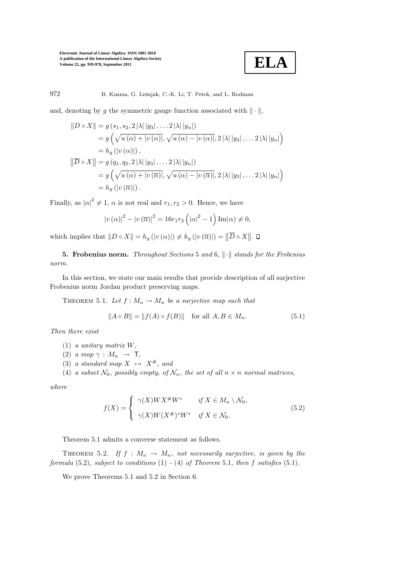

972 B. Kuzma, G. Leˇsnjak, C.-K. Li, T. Petek, and L. Rodman

and, denoting by g the symmetric gauge function associated with  $\|\cdot\|$ ,

$$
||D \circ X|| = g (s_1, s_2, 2 |\lambda| |y_3|, \dots 2 |\lambda| |y_n|)
$$
  
=  $g (\sqrt{u (\alpha) + |v (\alpha)|}, \sqrt{u (\alpha) - |v (\alpha)|}, 2 |\lambda| |y_3|, \dots 2 |\lambda| |y_n|)$   
=  $h_g (|v (\alpha)|),$   

$$
||\overline{D} \circ X|| = g (q_1, q_2, 2 |\lambda| |y_3|, \dots 2 |\lambda| |y_n|)
$$
  
=  $g (\sqrt{u (\alpha) + |v (\overline{\alpha})|}, \sqrt{u (\alpha) - |v (\overline{\alpha})|}, 2 |\lambda| |y_3|, \dots 2 |\lambda| |y_n|)$   
=  $h_g (|v (\overline{\alpha})|).$ 

Finally, as  $|\alpha|^2 \neq 1$ ,  $\alpha$  is not real and  $r_1, r_2 > 0$ . Hence, we have

$$
|v(\alpha)|^2 - |v(\overline{\alpha})|^2 = 16r_1r_2(|\alpha|^2 - 1)Im(\alpha) \neq 0,
$$

which implies that  $||D \circ X|| = h_g(|v(\alpha)|) \neq h_g(|v(\overline{\alpha})|) = ||\overline{D} \circ X||.$ 

5. Frobenius norm. Throughout Sections 5 and 6,  $\|\cdot\|$  stands for the Frobenius norm.

In this section, we state our main results that provide description of all surjective Frobenius norm Jordan product preserving maps.

THEOREM 5.1. Let  $f: M_n \to M_n$  be a surjective map such that

$$
||A \circ B|| = ||f(A) \circ f(B)|| \text{ for all } A, B \in M_n.
$$
 (5.1)

Then there exist

- (1) a unitary matrix W,
- (2) a map  $\gamma : M_n \rightarrow \mathsf{T}$ ,
- (3) a standard map  $X \mapsto X^{\#}$ , and

(4) a subset  $\mathcal{N}_0$ , possibly empty, of  $\mathcal{N}_n$ , the set of all  $n \times n$  normal matrices,

where

$$
f(X) = \begin{cases} \gamma(X)W X^{\#} W^* & \text{if } X \in M_n \setminus \mathcal{N}_0, \\ \gamma(X)W(X^{\#})^* W^* & \text{if } X \in \mathcal{N}_0. \end{cases}
$$
\n
$$
(5.2)
$$

Theorem 5.1 admits a converse statement as follows.

THEOREM 5.2. If  $f : M_n \to M_n$ , not necessarily surjective, is given by the formula  $(5.2)$ , subject to conditions  $(1)$  -  $(4)$  of Theorem 5.1, then f satisfies  $(5.1)$ .

We prove Theorems 5.1 and 5.2 in Section 6.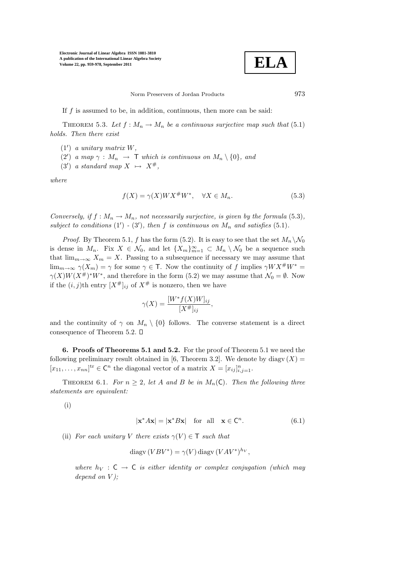

Norm Preservers of Jordan Products 973

If  $f$  is assumed to be, in addition, continuous, then more can be said:

THEOREM 5.3. Let  $f : M_n \to M_n$  be a continuous surjective map such that (5.1) holds. Then there exist

- (1′ ) a unitary matrix W,
- (2') a map  $\gamma : M_n \to \mathsf{T}$  which is continuous on  $M_n \setminus \{0\}$ , and
- (3') a standard map  $X \mapsto X^{\#}$ ,

where

$$
f(X) = \gamma(X)WX^{\#}W^*, \quad \forall X \in M_n.
$$
\n
$$
(5.3)
$$

Conversely, if  $f : M_n \to M_n$ , not necessarily surjective, is given by the formula (5.3), subject to conditions  $(1') - (3')$ , then f is continuous on  $M_n$  and satisfies  $(5.1)$ .

*Proof.* By Theorem 5.1, f has the form (5.2). It is easy to see that the set  $M_n \setminus \mathcal{N}_0$ is dense in  $M_n$ . Fix  $X \in \mathcal{N}_0$ , and let  $\{X_m\}_{m=1}^{\infty} \subset M_n \setminus \mathcal{N}_0$  be a sequence such that  $\lim_{m\to\infty} X_m = X$ . Passing to a subsequence if necessary we may assume that  $\lim_{m\to\infty} \gamma(X_m) = \gamma$  for some  $\gamma \in \mathsf{T}$ . Now the continuity of f implies  $\gamma W X^{\#} W^* =$  $\gamma(X)W(X^{\#})^*W^*$ , and therefore in the form (5.2) we may assume that  $\mathcal{N}_0 = \emptyset$ . Now if the  $(i, j)$ th entry  $[X^{\#}]_{ij}$  of  $X^{\#}$  is nonzero, then we have

$$
\gamma(X) = \frac{[W^* f(X)W]_{ij}}{[X^{\#}]_{ij}},
$$

and the continuity of  $\gamma$  on  $M_n \setminus \{0\}$  follows. The converse statement is a direct consequence of Theorem 5.2.

6. Proofs of Theorems 5.1 and 5.2. For the proof of Theorem 5.1 we need the following preliminary result obtained in [6, Theorem 3.2]. We denote by diagv  $(X)$  =  $[x_{11},...,x_{nn}]^{\text{tr}} \in \mathbb{C}^n$  the diagonal vector of a matrix  $X = [x_{ij}]_{i,j=1}^n$ .

THEOREM 6.1. For  $n \geq 2$ , let A and B be in  $M_n(\mathsf{C})$ . Then the following three statements are equivalent:

(i)

$$
|\mathbf{x}^* A \mathbf{x}| = |\mathbf{x}^* B \mathbf{x}| \quad \text{for all} \quad \mathbf{x} \in \mathbb{C}^n. \tag{6.1}
$$

(ii) For each unitary V there exists  $\gamma(V) \in \mathsf{T}$  such that

$$
diagv(VBV^*) = \gamma(V) diagv(VAV^*)^{h_V},
$$

where  $h_V : C \rightarrow C$  is either identity or complex conjugation (which may depend on  $V$ );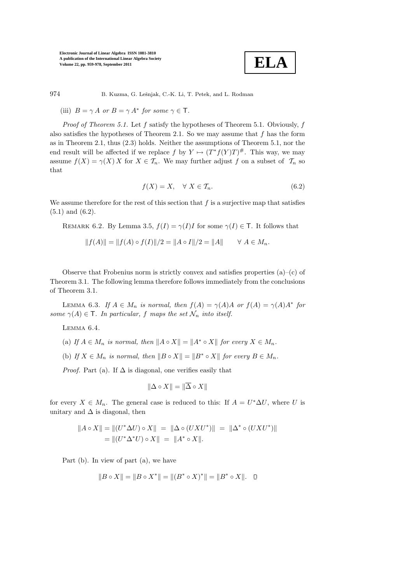

974 B. Kuzma, G. Lešnjak, C.-K. Li, T. Petek, and L. Rodman

(iii)  $B = \gamma A$  or  $B = \gamma A^*$  for some  $\gamma \in \mathsf{T}$ .

*Proof of Theorem 5.1.* Let  $f$  satisfy the hypotheses of Theorem 5.1. Obviously,  $f$ also satisfies the hypotheses of Theorem 2.1. So we may assume that  $f$  has the form as in Theorem 2.1, thus (2.3) holds. Neither the assumptions of Theorem 5.1, nor the end result will be affected if we replace  $f$  by  $Y \mapsto (T^*f(Y)T)^{\#}$ . This way, we may assume  $f(X) = \gamma(X) X$  for  $X \in \mathcal{T}_n$ . We may further adjust f on a subset of  $\mathcal{T}_n$  so that

$$
f(X) = X, \quad \forall \ X \in \mathcal{T}_n. \tag{6.2}
$$

We assume therefore for the rest of this section that  $f$  is a surjective map that satisfies (5.1) and (6.2).

REMARK 6.2. By Lemma 3.5,  $f(I) = \gamma(I)I$  for some  $\gamma(I) \in \mathsf{T}$ . It follows that

$$
||f(A)|| = ||f(A) \circ f(I)||/2 = ||A \circ I||/2 = ||A|| \qquad \forall A \in M_n.
$$

Observe that Frobenius norm is strictly convex and satisfies properties  $(a)$ – $(c)$  of Theorem 3.1. The following lemma therefore follows immediately from the conclusions of Theorem 3.1.

LEMMA 6.3. If  $A \in M_n$  is normal, then  $f(A) = \gamma(A)A$  or  $f(A) = \gamma(A)A^*$  for some  $\gamma(A) \in \mathsf{T}$ . In particular, f maps the set  $\mathcal{N}_n$  into itself.

Lemma 6.4.

(a) If  $A \in M_n$  is normal, then  $||A \circ X|| = ||A^* \circ X||$  for every  $X \in M_n$ .

(b) If  $X \in M_n$  is normal, then  $||B \circ X|| = ||B^* \circ X||$  for every  $B \in M_n$ .

*Proof.* Part (a). If  $\Delta$  is diagonal, one verifies easily that

$$
\|\Delta \circ X\| = \|\overline{\Delta} \circ X\|
$$

for every  $X \in M_n$ . The general case is reduced to this: If  $A = U^* \Delta U$ , where U is unitary and  $\Delta$  is diagonal, then

$$
||A \circ X|| = ||(U^* \Delta U) \circ X|| = ||\Delta \circ (UXU^*)|| = ||\Delta^* \circ (UXU^*)||
$$
  
= 
$$
||(U^* \Delta^* U) \circ X|| = ||A^* \circ X||.
$$

Part (b). In view of part (a), we have

$$
||B \circ X|| = ||B \circ X^*|| = ||(B^* \circ X)^*|| = ||B^* \circ X||. \quad \Box
$$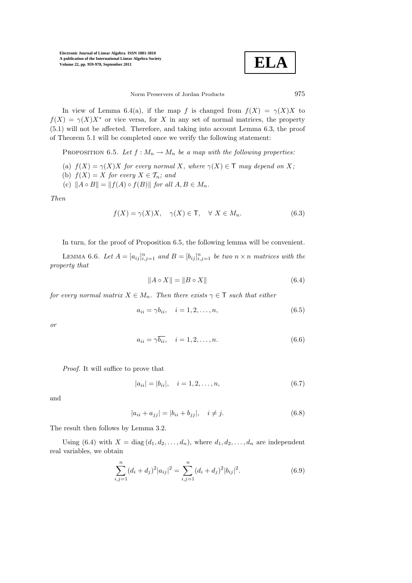$$
\boxed{\textbf{ELA}}
$$

Norm Preservers of Jordan Products 975

In view of Lemma 6.4(a), if the map f is changed from  $f(X) = \gamma(X)X$  to  $f(X) = \gamma(X)X^*$  or vice versa, for X in any set of normal matrices, the property (5.1) will not be affected. Therefore, and taking into account Lemma 6.3, the proof of Theorem 5.1 will be completed once we verify the following statement:

PROPOSITION 6.5. Let  $f : M_n \to M_n$  be a map with the following properties:

(a)  $f(X) = \gamma(X)X$  for every normal X, where  $\gamma(X) \in \mathsf{T}$  may depend on X;

- (b)  $f(X) = X$  for every  $X \in \mathcal{T}_n$ ; and
- (c)  $||A \circ B|| = ||f(A) \circ f(B)||$  for all  $A, B \in M_n$ .

Then

$$
f(X) = \gamma(X)X, \quad \gamma(X) \in \mathsf{T}, \quad \forall \ X \in M_n.
$$
 (6.3)

In turn, for the proof of Proposition 6.5, the following lemma will be convenient.

LEMMA 6.6. Let  $A = [a_{ij}]_{i,j=1}^n$  and  $B = [b_{ij}]_{i,j=1}^n$  be two  $n \times n$  matrices with the property that

$$
||A \circ X|| = ||B \circ X|| \tag{6.4}
$$

for every normal matrix  $X \in M_n$ . Then there exists  $\gamma \in \mathsf{T}$  such that either

$$
a_{ii} = \gamma b_{ii}, \quad i = 1, 2, \dots, n,
$$
\n
$$
(6.5)
$$

or

$$
a_{ii} = \gamma \overline{b_{ii}}, \quad i = 1, 2, \dots, n. \tag{6.6}
$$

Proof. It will suffice to prove that

$$
|a_{ii}| = |b_{ii}|, \quad i = 1, 2, \dots, n,
$$
\n(6.7)

and

$$
|a_{ii} + a_{jj}| = |b_{ii} + b_{jj}|, \quad i \neq j.
$$
 (6.8)

The result then follows by Lemma 3.2.

Using (6.4) with  $X = \text{diag}(d_1, d_2, \ldots, d_n)$ , where  $d_1, d_2, \ldots, d_n$  are independent real variables, we obtain

$$
\sum_{i,j=1}^{n} (d_i + d_j)^2 |a_{ij}|^2 = \sum_{i,j=1}^{n} (d_i + d_j)^2 |b_{ij}|^2.
$$
 (6.9)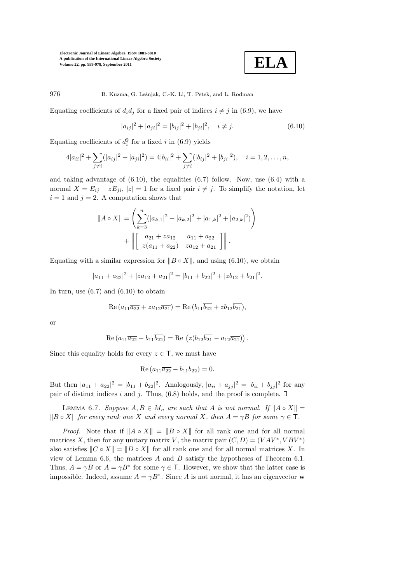$$
\boxed{\textbf{ELA}}
$$

976 B. Kuzma, G. Lešnjak, C.-K. Li, T. Petek, and L. Rodman

Equating coefficients of  $d_i d_j$  for a fixed pair of indices  $i \neq j$  in (6.9), we have

$$
|a_{ij}|^2 + |a_{ji}|^2 = |b_{ij}|^2 + |b_{ji}|^2, \quad i \neq j.
$$
 (6.10)

Equating coefficients of  $d_i^2$  for a fixed i in (6.9) yields

$$
4|a_{ii}|^2 + \sum_{j \neq i} (|a_{ij}|^2 + |a_{ji}|^2) = 4|b_{ii}|^2 + \sum_{j \neq i} (|b_{ij}|^2 + |b_{ji}|^2), \quad i = 1, 2, \dots, n,
$$

and taking advantage of  $(6.10)$ , the equalities  $(6.7)$  follow. Now, use  $(6.4)$  with a normal  $X = E_{ij} + zE_{ji}$ ,  $|z| = 1$  for a fixed pair  $i \neq j$ . To simplify the notation, let  $i = 1$  and  $j = 2$ . A computation shows that

$$
||A \circ X|| = \left(\sum_{k=3}^{n} (|a_{k,1}|^{2} + |a_{k,2}|^{2} + |a_{1,k}|^{2} + |a_{2,k}|^{2})\right)
$$
  
+ 
$$
||\begin{bmatrix} a_{21} + za_{12} & a_{11} + a_{22} \ z(a_{11} + a_{22}) & za_{12} + a_{21} \end{bmatrix}||.
$$

Equating with a similar expression for  $||B \circ X||$ , and using (6.10), we obtain

$$
|a_{11} + a_{22}|^2 + |za_{12} + a_{21}|^2 = |b_{11} + b_{22}|^2 + |zb_{12} + b_{21}|^2.
$$

In turn, use  $(6.7)$  and  $(6.10)$  to obtain

$$
Re (a_{11}\overline{a_{22}} + za_{12}\overline{a_{21}}) = Re (b_{11}\overline{b_{22}} + zb_{12}\overline{b_{21}}),
$$

or

Re 
$$
(a_{11}\overline{a_{22}} - b_{11}\overline{b_{22}})
$$
 = Re  $(z(b_{12}\overline{b_{21}} - a_{12}\overline{a_{21}}))$ .

Since this equality holds for every  $z \in \mathsf{T}$ , we must have

Re 
$$
(a_{11}\overline{a_{22}} - b_{11}\overline{b_{22}}) = 0.
$$

But then  $|a_{11} + a_{22}|^2 = |b_{11} + b_{22}|^2$ . Analogously,  $|a_{ii} + a_{jj}|^2 = |b_{ii} + b_{jj}|^2$  for any pair of distinct indices i and j. Thus,  $(6.8)$  holds, and the proof is complete.  $\square$ 

LEMMA 6.7. Suppose  $A, B \in M_n$  are such that A is not normal. If  $||A \circ X|| =$  $||B \circ X||$  for every rank one X and every normal X, then  $A = \gamma B$  for some  $\gamma \in \mathsf{T}$ .

*Proof.* Note that if  $||A \circ X|| = ||B \circ X||$  for all rank one and for all normal matrices X, then for any unitary matrix V, the matrix pair  $(C, D) = (VAV^*, VBV^*)$ also satisfies  $||C \circ X|| = ||D \circ X||$  for all rank one and for all normal matrices X. In view of Lemma 6.6, the matrices  $A$  and  $B$  satisfy the hypotheses of Theorem 6.1. Thus,  $A = \gamma B$  or  $A = \gamma B^*$  for some  $\gamma \in \mathsf{T}$ . However, we show that the latter case is impossible. Indeed, assume  $A = \gamma B^*$ . Since A is not normal, it has an eigenvector w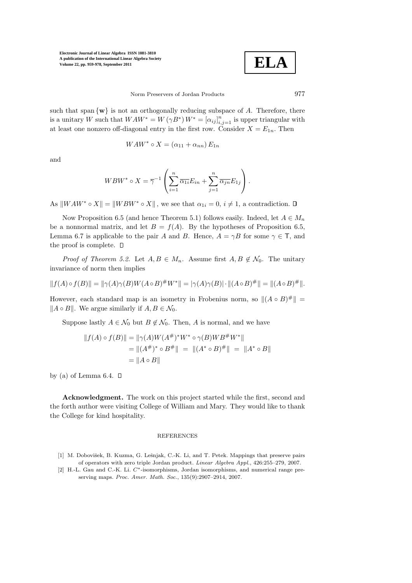**ELA**

Norm Preservers of Jordan Products 977

such that span  $\{w\}$  is not an orthogonally reducing subspace of A. Therefore, there is a unitary W such that  $WAW^* = W(\gamma B^*) W^* = [\alpha_{ij}]_{i,j=1}^n$  is upper triangular with at least one nonzero off-diagonal entry in the first row. Consider  $X = E_{1n}$ . Then

$$
WAW^* \circ X = (\alpha_{11} + \alpha_{nn}) E_{1n}
$$

and

$$
WBW^* \circ X = \overline{\gamma}^{-1} \left( \sum_{i=1}^n \overline{\alpha_{1i}} E_{in} + \sum_{j=1}^n \overline{\alpha_{jn}} E_{1j} \right).
$$

As  $\|WM^* \circ X\| = \|WBW^* \circ X\|$ , we see that  $\alpha_{1i} = 0, i \neq 1$ , a contradiction.  $\Box$ 

Now Proposition 6.5 (and hence Theorem 5.1) follows easily. Indeed, let  $A \in M_n$ be a nonnormal matrix, and let  $B = f(A)$ . By the hypotheses of Proposition 6.5, Lemma 6.7 is applicable to the pair A and B. Hence,  $A = \gamma B$  for some  $\gamma \in \mathsf{T}$ , and the proof is complete.  $\square$ 

*Proof of Theorem 5.2.* Let  $A, B \in M_n$ . Assume first  $A, B \notin \mathcal{N}_0$ . The unitary invariance of norm then implies

$$
||f(A) \circ f(B)|| = ||\gamma(A)\gamma(B)W(A \circ B)^{\#}W^*|| = |\gamma(A)\gamma(B)| \cdot ||(A \circ B)^{\#}|| = ||(A \circ B)^{\#}||.
$$

However, each standard map is an isometry in Frobenius norm, so  $\|(A \circ B)^{\#}\| =$  $||A \circ B||$ . We argue similarly if  $A, B \in \mathcal{N}_0$ .

Suppose lastly  $A \in \mathcal{N}_0$  but  $B \notin \mathcal{N}_0$ . Then, A is normal, and we have

$$
||f(A) \circ f(B)|| = ||\gamma(A)W(A^{\#})^*W^* \circ \gamma(B)WB^{\#}W^*||
$$
  
=  $||(A^*)^* \circ B^{\#}|| = ||(A^* \circ B)^{\#}|| = ||A^* \circ B||$   
=  $||A \circ B||$ 

by (a) of Lemma 6.4.  $\square$ 

Acknowledgment. The work on this project started while the first, second and the forth author were visiting College of William and Mary. They would like to thank the College for kind hospitality.

## REFERENCES

- [1] M. Dobovišek, B. Kuzma, G. Lešnjak, C.-K. Li, and T. Petek. Mappings that preserve pairs of operators with zero triple Jordan product. Linear Algebra Appl., 426:255–279, 2007.
- [2] H.-L. Gau and C.-K. Li. C∗-isomorphisms, Jordan isomorphisms, and numerical range preserving maps. Proc. Amer. Math. Soc., 135(9):2907–2914, 2007.